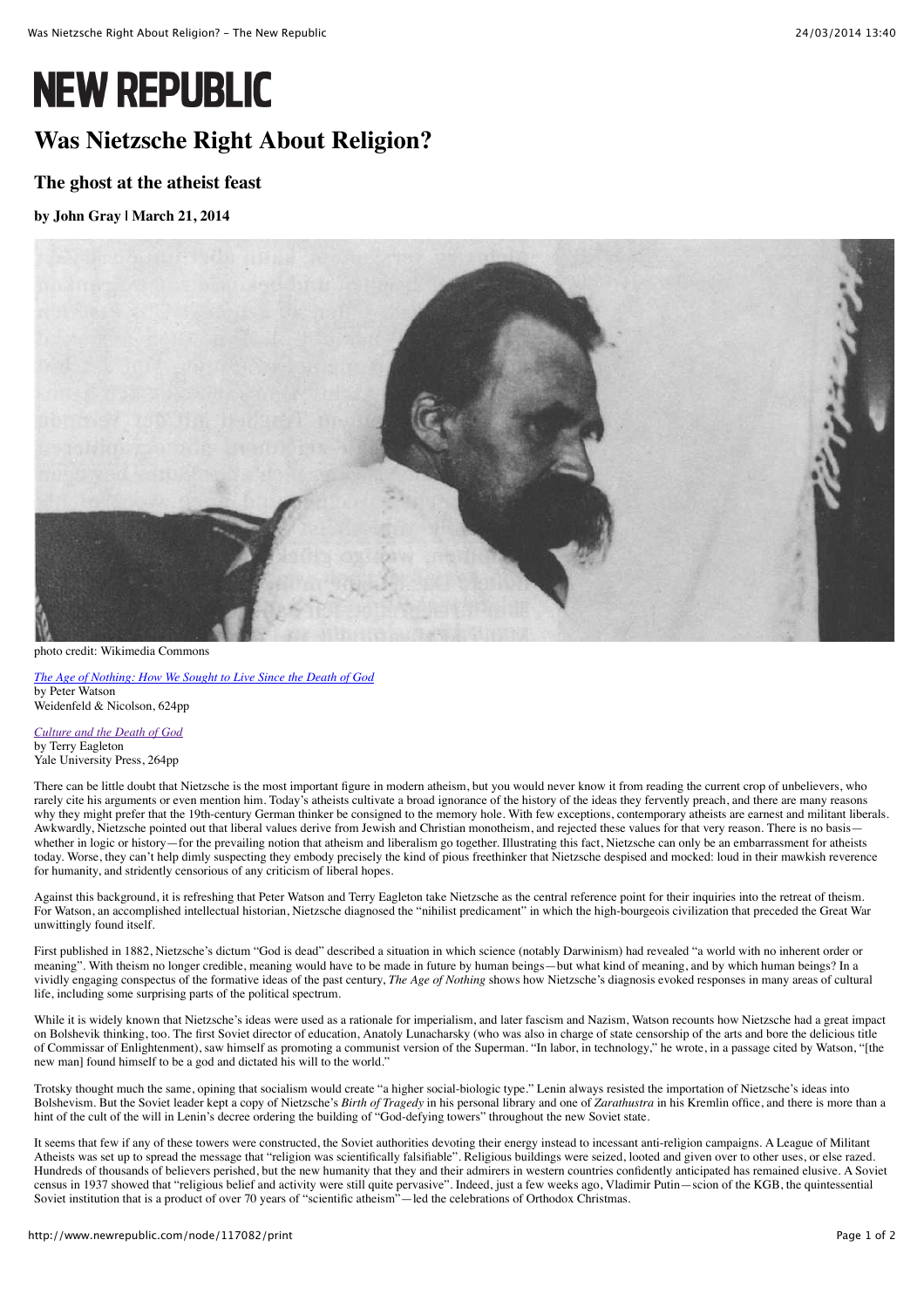# **NEW REPUBLIC**

## **Was Nietzsche Right About Religion?**

### **The ghost at the atheist feast**

#### **by [John Gray](http://www.newrepublic.com/authors/john-gray) | March 21, 2014**



photo credit: Wikimedia Commons

*[The Age of Nothing: How We Sought to Live Since the Death of God](http://www.amazon.com/The-Age-Nothing-Peter-Watson/dp/0297859846/ref=sr_1_8?ie=UTF8&qid=1395266559&sr=8-8&keywords=age+of+nothing)* by Peter Watson Weidenfeld & Nicolson, 624pp

*[Culture and the Death of God](http://www.amazon.com/gp/product/0300203993/ref=as_li_qf_sp_asin_tl?ie=UTF8&camp=1789&creative=9325&creativeASIN=0300203993&linkCode=as2&tag=thenewrep08-20)* by Terry Eagleton Yale University Press, 264pp

There can be little doubt that Nietzsche is the most important figure in modern atheism, but you would never know it from reading the current crop of unbelievers, who rarely cite his arguments or even mention him. Today's atheists cultivate a broad ignorance of the history of the ideas they fervently preach, and there are many reasons why they might prefer that the 19th-century German thinker be consigned to the memory hole. With few exceptions, contemporary atheists are earnest and militant liberals. Awkwardly, Nietzsche pointed out that liberal values derive from Jewish and Christian monotheism, and rejected these values for that very reason. There is no basis whether in logic or history—for the prevailing notion that atheism and liberalism go together. Illustrating this fact, Nietzsche can only be an embarrassment for atheists today. Worse, they can't help dimly suspecting they embody precisely the kind of pious freethinker that Nietzsche despised and mocked: loud in their mawkish reverence for humanity, and stridently censorious of any criticism of liberal hopes.

Against this background, it is refreshing that Peter Watson and Terry Eagleton take Nietzsche as the central reference point for their inquiries into the retreat of theism. For Watson, an accomplished intellectual historian, Nietzsche diagnosed the "nihilist predicament" in which the high-bourgeois civilization that preceded the Great War unwittingly found itself.

First published in 1882, Nietzsche's dictum "God is dead" described a situation in which science (notably Darwinism) had revealed "a world with no inherent order or meaning". With theism no longer credible, meaning would have to be made in future by human beings—but what kind of meaning, and by which human beings? In a vividly engaging conspectus of the formative ideas of the past century, *The Age of Nothing* shows how Nietzsche's diagnosis evoked responses in many areas of cultural life, including some surprising parts of the political spectrum.

While it is widely known that Nietzsche's ideas were used as a rationale for imperialism, and later fascism and Nazism, Watson recounts how Nietzsche had a great impact on Bolshevik thinking, too. The first Soviet director of education, Anatoly Lunacharsky (who was also in charge of state censorship of the arts and bore the delicious title of Commissar of Enlightenment), saw himself as promoting a communist version of the Superman. "In labor, in technology," he wrote, in a passage cited by Watson, "[the new man] found himself to be a god and dictated his will to the world."

Trotsky thought much the same, opining that socialism would create "a higher social-biologic type." Lenin always resisted the importation of Nietzsche's ideas into Bolshevism. But the Soviet leader kept a copy of Nietzsche's *Birth of Tragedy* in his personal library and one of *Zarathustra* in his Kremlin office, and there is more than a hint of the cult of the will in Lenin's decree ordering the building of "God-defying towers" throughout the new Soviet state.

It seems that few if any of these towers were constructed, the Soviet authorities devoting their energy instead to incessant anti-religion campaigns. A League of Militant Atheists was set up to spread the message that "religion was scientifically falsifiable". Religious buildings were seized, looted and given over to other uses, or else razed. Hundreds of thousands of believers perished, but the new humanity that they and their admirers in western countries confidently anticipated has remained elusive. A Soviet census in 1937 showed that "religious belief and activity were still quite pervasive". Indeed, just a few weeks ago, Vladimir Putin—scion of the KGB, the quintessential Soviet institution that is a product of over 70 years of "scientific atheism"—led the celebrations of Orthodox Christmas.